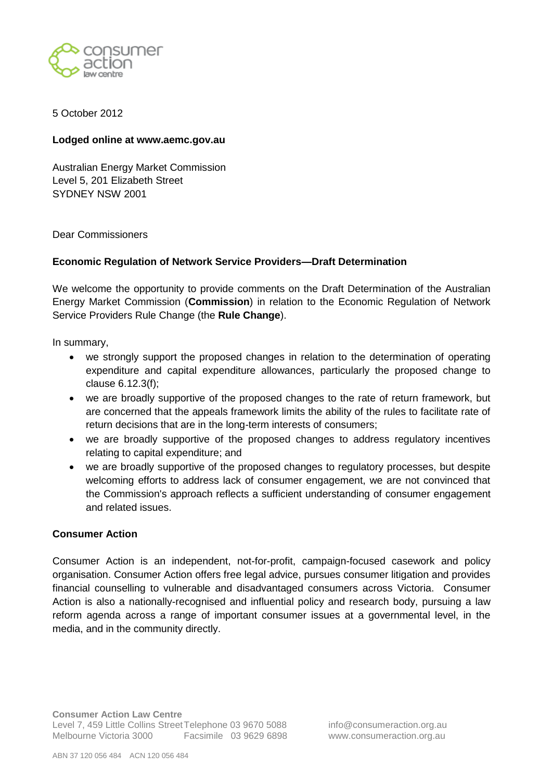

## 5 October 2012

#### **Lodged online at www.aemc.gov.au**

Australian Energy Market Commission Level 5, 201 Elizabeth Street SYDNEY NSW 2001

#### Dear Commissioners

#### **Economic Regulation of Network Service Providers—Draft Determination**

We welcome the opportunity to provide comments on the Draft Determination of the Australian Energy Market Commission (**Commission**) in relation to the Economic Regulation of Network Service Providers Rule Change (the **Rule Change**).

In summary,

- we strongly support the proposed changes in relation to the determination of operating expenditure and capital expenditure allowances, particularly the proposed change to clause 6.12.3(f);
- we are broadly supportive of the proposed changes to the rate of return framework, but are concerned that the appeals framework limits the ability of the rules to facilitate rate of return decisions that are in the long-term interests of consumers;
- we are broadly supportive of the proposed changes to address regulatory incentives relating to capital expenditure; and
- we are broadly supportive of the proposed changes to regulatory processes, but despite welcoming efforts to address lack of consumer engagement, we are not convinced that the Commission's approach reflects a sufficient understanding of consumer engagement and related issues.

## **Consumer Action**

Consumer Action is an independent, not-for-profit, campaign-focused casework and policy organisation. Consumer Action offers free legal advice, pursues consumer litigation and provides financial counselling to vulnerable and disadvantaged consumers across Victoria. Consumer Action is also a nationally-recognised and influential policy and research body, pursuing a law reform agenda across a range of important consumer issues at a governmental level, in the media, and in the community directly.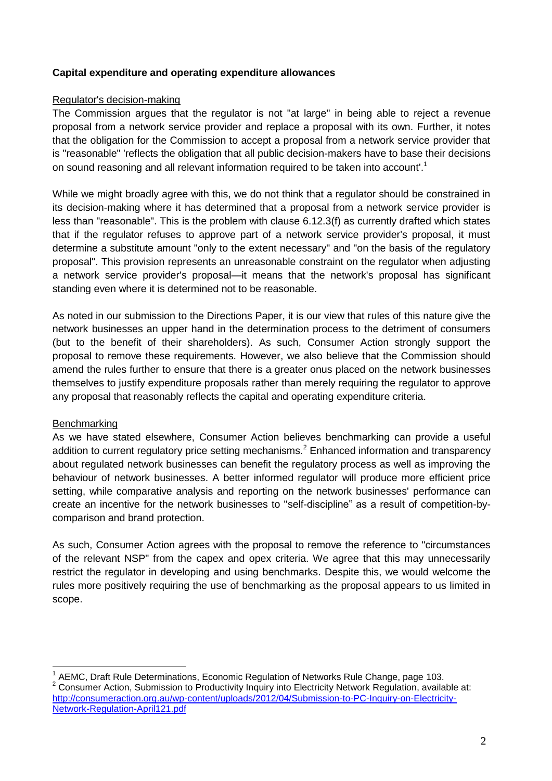# **Capital expenditure and operating expenditure allowances**

## Regulator's decision-making

The Commission argues that the regulator is not "at large" in being able to reject a revenue proposal from a network service provider and replace a proposal with its own. Further, it notes that the obligation for the Commission to accept a proposal from a network service provider that is "reasonable" 'reflects the obligation that all public decision-makers have to base their decisions on sound reasoning and all relevant information required to be taken into account'.<sup>1</sup>

While we might broadly agree with this, we do not think that a regulator should be constrained in its decision-making where it has determined that a proposal from a network service provider is less than "reasonable". This is the problem with clause 6.12.3(f) as currently drafted which states that if the regulator refuses to approve part of a network service provider's proposal, it must determine a substitute amount "only to the extent necessary" and "on the basis of the regulatory proposal". This provision represents an unreasonable constraint on the regulator when adjusting a network service provider's proposal—it means that the network's proposal has significant standing even where it is determined not to be reasonable.

As noted in our submission to the Directions Paper, it is our view that rules of this nature give the network businesses an upper hand in the determination process to the detriment of consumers (but to the benefit of their shareholders). As such, Consumer Action strongly support the proposal to remove these requirements. However, we also believe that the Commission should amend the rules further to ensure that there is a greater onus placed on the network businesses themselves to justify expenditure proposals rather than merely requiring the regulator to approve any proposal that reasonably reflects the capital and operating expenditure criteria.

## **Benchmarking**

1

As we have stated elsewhere, Consumer Action believes benchmarking can provide a useful addition to current regulatory price setting mechanisms.<sup>2</sup> Enhanced information and transparency about regulated network businesses can benefit the regulatory process as well as improving the behaviour of network businesses. A better informed regulator will produce more efficient price setting, while comparative analysis and reporting on the network businesses' performance can create an incentive for the network businesses to "self-discipline" as a result of competition-bycomparison and brand protection.

As such, Consumer Action agrees with the proposal to remove the reference to "circumstances of the relevant NSP" from the capex and opex criteria. We agree that this may unnecessarily restrict the regulator in developing and using benchmarks. Despite this, we would welcome the rules more positively requiring the use of benchmarking as the proposal appears to us limited in scope.

<sup>1</sup> AEMC, Draft Rule Determinations, Economic Regulation of Networks Rule Change, page 103.

<sup>&</sup>lt;sup>2</sup> Consumer Action. Submission to Productivity Inquiry into Electricity Network Regulation, available at: [http://consumeraction.org.au/wp-content/uploads/2012/04/Submission-to-PC-Inquiry-on-Electricity-](http://consumeraction.org.au/wp-content/uploads/2012/04/Submission-to-PC-Inquiry-on-Electricity-Network-Regulation-April121.pdf)[Network-Regulation-April121.pdf](http://consumeraction.org.au/wp-content/uploads/2012/04/Submission-to-PC-Inquiry-on-Electricity-Network-Regulation-April121.pdf)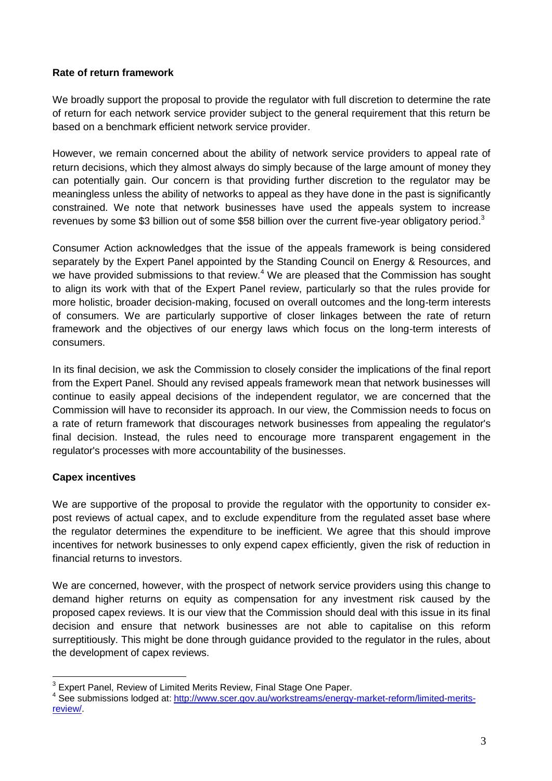# **Rate of return framework**

We broadly support the proposal to provide the regulator with full discretion to determine the rate of return for each network service provider subject to the general requirement that this return be based on a benchmark efficient network service provider.

However, we remain concerned about the ability of network service providers to appeal rate of return decisions, which they almost always do simply because of the large amount of money they can potentially gain. Our concern is that providing further discretion to the regulator may be meaningless unless the ability of networks to appeal as they have done in the past is significantly constrained. We note that network businesses have used the appeals system to increase revenues by some \$3 billion out of some \$58 billion over the current five-year obligatory period.<sup>3</sup>

Consumer Action acknowledges that the issue of the appeals framework is being considered separately by the Expert Panel appointed by the Standing Council on Energy & Resources, and we have provided submissions to that review.<sup>4</sup> We are pleased that the Commission has sought to align its work with that of the Expert Panel review, particularly so that the rules provide for more holistic, broader decision-making, focused on overall outcomes and the long-term interests of consumers. We are particularly supportive of closer linkages between the rate of return framework and the objectives of our energy laws which focus on the long-term interests of consumers.

In its final decision, we ask the Commission to closely consider the implications of the final report from the Expert Panel. Should any revised appeals framework mean that network businesses will continue to easily appeal decisions of the independent regulator, we are concerned that the Commission will have to reconsider its approach. In our view, the Commission needs to focus on a rate of return framework that discourages network businesses from appealing the regulator's final decision. Instead, the rules need to encourage more transparent engagement in the regulator's processes with more accountability of the businesses.

# **Capex incentives**

<u>.</u>

We are supportive of the proposal to provide the regulator with the opportunity to consider expost reviews of actual capex, and to exclude expenditure from the regulated asset base where the regulator determines the expenditure to be inefficient. We agree that this should improve incentives for network businesses to only expend capex efficiently, given the risk of reduction in financial returns to investors.

We are concerned, however, with the prospect of network service providers using this change to demand higher returns on equity as compensation for any investment risk caused by the proposed capex reviews. It is our view that the Commission should deal with this issue in its final decision and ensure that network businesses are not able to capitalise on this reform surreptitiously. This might be done through guidance provided to the regulator in the rules, about the development of capex reviews.

 $3$  Expert Panel, Review of Limited Merits Review, Final Stage One Paper.

<sup>&</sup>lt;sup>4</sup> See submissions lodged at: [http://www.scer.gov.au/workstreams/energy-market-reform/limited-merits](http://www.scer.gov.au/workstreams/energy-market-reform/limited-merits-review/)[review/.](http://www.scer.gov.au/workstreams/energy-market-reform/limited-merits-review/)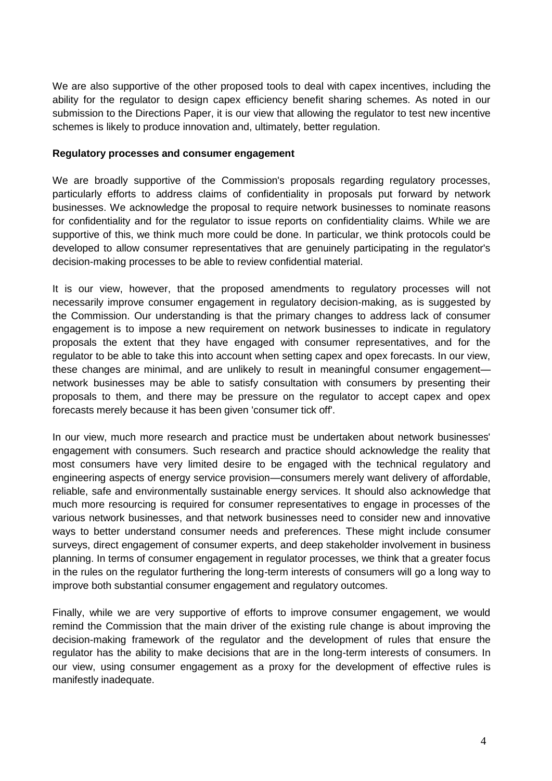We are also supportive of the other proposed tools to deal with capex incentives, including the ability for the regulator to design capex efficiency benefit sharing schemes. As noted in our submission to the Directions Paper, it is our view that allowing the regulator to test new incentive schemes is likely to produce innovation and, ultimately, better regulation.

#### **Regulatory processes and consumer engagement**

We are broadly supportive of the Commission's proposals regarding regulatory processes, particularly efforts to address claims of confidentiality in proposals put forward by network businesses. We acknowledge the proposal to require network businesses to nominate reasons for confidentiality and for the regulator to issue reports on confidentiality claims. While we are supportive of this, we think much more could be done. In particular, we think protocols could be developed to allow consumer representatives that are genuinely participating in the regulator's decision-making processes to be able to review confidential material.

It is our view, however, that the proposed amendments to regulatory processes will not necessarily improve consumer engagement in regulatory decision-making, as is suggested by the Commission. Our understanding is that the primary changes to address lack of consumer engagement is to impose a new requirement on network businesses to indicate in regulatory proposals the extent that they have engaged with consumer representatives, and for the regulator to be able to take this into account when setting capex and opex forecasts. In our view, these changes are minimal, and are unlikely to result in meaningful consumer engagement network businesses may be able to satisfy consultation with consumers by presenting their proposals to them, and there may be pressure on the regulator to accept capex and opex forecasts merely because it has been given 'consumer tick off'.

In our view, much more research and practice must be undertaken about network businesses' engagement with consumers. Such research and practice should acknowledge the reality that most consumers have very limited desire to be engaged with the technical regulatory and engineering aspects of energy service provision—consumers merely want delivery of affordable, reliable, safe and environmentally sustainable energy services. It should also acknowledge that much more resourcing is required for consumer representatives to engage in processes of the various network businesses, and that network businesses need to consider new and innovative ways to better understand consumer needs and preferences. These might include consumer surveys, direct engagement of consumer experts, and deep stakeholder involvement in business planning. In terms of consumer engagement in regulator processes, we think that a greater focus in the rules on the regulator furthering the long-term interests of consumers will go a long way to improve both substantial consumer engagement and regulatory outcomes.

Finally, while we are very supportive of efforts to improve consumer engagement, we would remind the Commission that the main driver of the existing rule change is about improving the decision-making framework of the regulator and the development of rules that ensure the regulator has the ability to make decisions that are in the long-term interests of consumers. In our view, using consumer engagement as a proxy for the development of effective rules is manifestly inadequate.